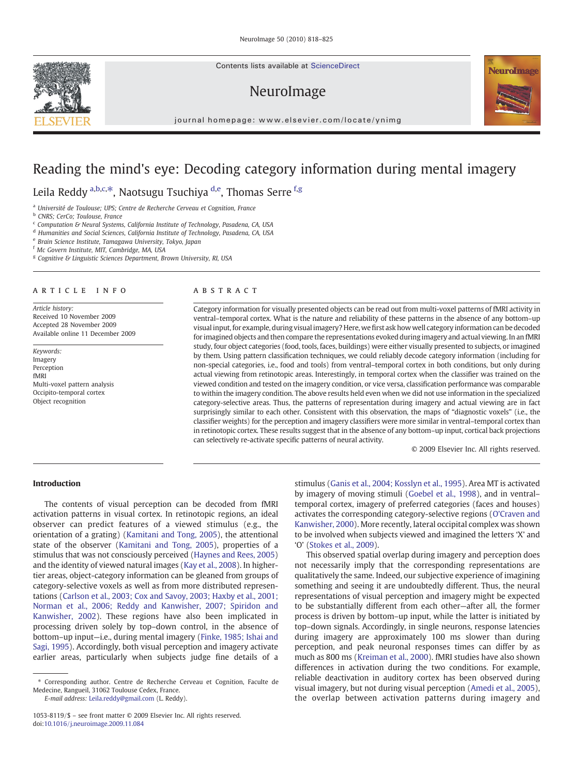Contents lists available at ScienceDirect

# NeuroImage



journal homepage: www.elsevier.com/locate/ynimg

# Reading the mind's eye: Decoding category information during mental imagery

Leila Reddy <sup>a,b,c,\*</sup>, Naotsugu Tsuchiya <sup>d,e</sup>, Thomas Serre <sup>f,g</sup>

<sup>a</sup> Université de Toulouse; UPS; Centre de Recherche Cerveau et Cognition, France

**b** CNRS; CerCo; Toulouse, France

<sup>c</sup> Computation & Neural Systems, California Institute of Technology, Pasadena, CA, USA

<sup>d</sup> Humanities and Social Sciences, California Institute of Technology, Pasadena, CA, USA

<sup>e</sup> Brain Science Institute, Tamagawa University, Tokyo, Japan

<sup>f</sup> Mc Govern Institute, MIT, Cambridge, MA, USA

<sup>g</sup> Cognitive & Linguistic Sciences Department, Brown University, RI, USA

#### article info abstract

Article history: Received 10 November 2009 Accepted 28 November 2009 Available online 11 December 2009

Keywords: Imagery Perception fMRI Multi-voxel pattern analysis Occipito-temporal cortex Object recognition

Category information for visually presented objects can be read out from multi-voxel patterns of fMRI activity in ventral–temporal cortex. What is the nature and reliability of these patterns in the absence of any bottom–up visual input, for example, during visual imagery? Here, we first ask how well category information can be decoded for imagined objects and then compare the representations evoked during imagery and actual viewing. In an fMRI study, four object categories (food, tools, faces, buildings) were either visually presented to subjects, or imagined by them. Using pattern classification techniques, we could reliably decode category information (including for non-special categories, i.e., food and tools) from ventral–temporal cortex in both conditions, but only during actual viewing from retinotopic areas. Interestingly, in temporal cortex when the classifier was trained on the viewed condition and tested on the imagery condition, or vice versa, classification performance was comparable to within the imagery condition. The above results held even when we did not use information in the specialized category-selective areas. Thus, the patterns of representation during imagery and actual viewing are in fact surprisingly similar to each other. Consistent with this observation, the maps of "diagnostic voxels" (i.e., the classifier weights) for the perception and imagery classifiers were more similar in ventral–temporal cortex than in retinotopic cortex. These results suggest that in the absence of any bottom–up input, cortical back projections can selectively re-activate specific patterns of neural activity.

© 2009 Elsevier Inc. All rights reserved.

# Introduction

The contents of visual perception can be decoded from fMRI activation patterns in visual cortex. In retinotopic regions, an ideal observer can predict features of a viewed stimulus (e.g., the orientation of a grating) [\(Kamitani and Tong, 2005](#page-7-0)), the attentional state of the observer ([Kamitani and Tong, 2005\)](#page-7-0), properties of a stimulus that was not consciously perceived ([Haynes and Rees, 2005](#page-7-0)) and the identity of viewed natural images [\(Kay et al., 2008](#page-7-0)). In highertier areas, object-category information can be gleaned from groups of category-selective voxels as well as from more distributed representations [\(Carlson et al., 2003; Cox and Savoy, 2003; Haxby et al., 2001;](#page-6-0) [Norman et al., 2006; Reddy and Kanwisher, 2007; Spiridon and](#page-6-0) [Kanwisher, 2002\)](#page-6-0). These regions have also been implicated in processing driven solely by top–down control, in the absence of bottom–up input—i.e., during mental imagery [\(Finke, 1985; Ishai and](#page-6-0) [Sagi, 1995\)](#page-6-0). Accordingly, both visual perception and imagery activate earlier areas, particularly when subjects judge fine details of a

E-mail address: [Leila.reddy@gmail.com](mailto:Leila.reddy@gmail.com) (L. Reddy).

stimulus [\(Ganis et al., 2004; Kosslyn et al., 1995\)](#page-7-0). Area MT is activated by imagery of moving stimuli [\(Goebel et al., 1998\)](#page-7-0), and in ventral– temporal cortex, imagery of preferred categories (faces and houses) activates the corresponding category-selective regions [\(O'Craven and](#page-7-0) [Kanwisher, 2000](#page-7-0)). More recently, lateral occipital complex was shown to be involved when subjects viewed and imagined the letters 'X' and 'O' ([Stokes et al., 2009\)](#page-7-0).

This observed spatial overlap during imagery and perception does not necessarily imply that the corresponding representations are qualitatively the same. Indeed, our subjective experience of imagining something and seeing it are undoubtedly different. Thus, the neural representations of visual perception and imagery might be expected to be substantially different from each other—after all, the former process is driven by bottom–up input, while the latter is initiated by top–down signals. Accordingly, in single neurons, response latencies during imagery are approximately 100 ms slower than during perception, and peak neuronal responses times can differ by as much as 800 ms ([Kreiman et al., 2000](#page-7-0)). fMRI studies have also shown differences in activation during the two conditions. For example, reliable deactivation in auditory cortex has been observed during visual imagery, but not during visual perception ([Amedi et al., 2005](#page-6-0)), the overlap between activation patterns during imagery and



<sup>⁎</sup> Corresponding author. Centre de Recherche Cerveau et Cognition, Faculte de Medecine, Rangueil, 31062 Toulouse Cedex, France.

<sup>1053-8119/\$</sup> – see front matter © 2009 Elsevier Inc. All rights reserved. doi[:10.1016/j.neuroimage.2009.11.084](http://dx.doi.org/10.1016/j.neuroimage.2009.11.084)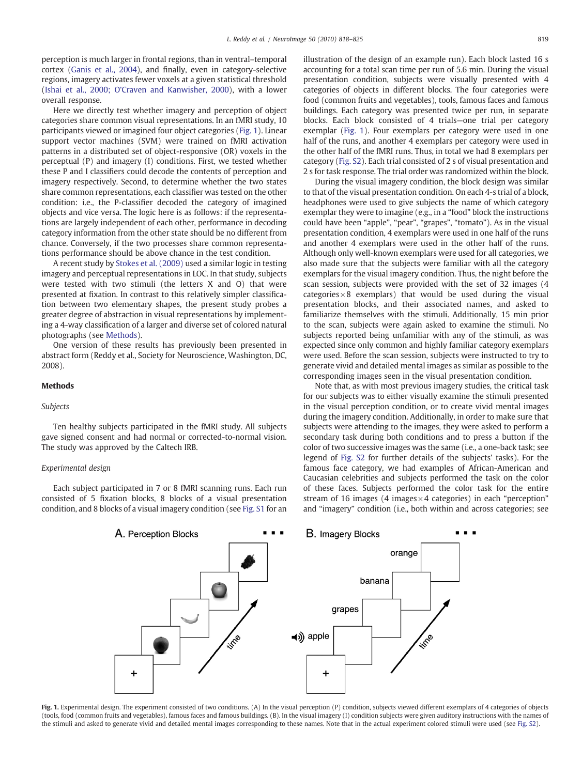<span id="page-1-0"></span>perception is much larger in frontal regions, than in ventral–temporal cortex ([Ganis et al., 2004](#page-7-0)), and finally, even in category-selective regions, imagery activates fewer voxels at a given statistical threshold [\(Ishai et al., 2000; O'Craven and Kanwisher, 2000](#page-7-0)), with a lower overall response.

Here we directly test whether imagery and perception of object categories share common visual representations. In an fMRI study, 10 participants viewed or imagined four object categories (Fig. 1). Linear support vector machines (SVM) were trained on fMRI activation patterns in a distributed set of object-responsive (OR) voxels in the perceptual (P) and imagery (I) conditions. First, we tested whether these P and I classifiers could decode the contents of perception and imagery respectively. Second, to determine whether the two states share common representations, each classifier was tested on the other condition: i.e., the P-classifier decoded the category of imagined objects and vice versa. The logic here is as follows: if the representations are largely independent of each other, performance in decoding category information from the other state should be no different from chance. Conversely, if the two processes share common representations performance should be above chance in the test condition.

A recent study by [Stokes et al. \(2009\)](#page-7-0) used a similar logic in testing imagery and perceptual representations in LOC. In that study, subjects were tested with two stimuli (the letters X and O) that were presented at fixation. In contrast to this relatively simpler classification between two elementary shapes, the present study probes a greater degree of abstraction in visual representations by implementing a 4-way classification of a larger and diverse set of colored natural photographs (see Methods).

One version of these results has previously been presented in abstract form (Reddy et al., Society for Neuroscience, Washington, DC, 2008).

#### Methods

#### Subjects

Ten healthy subjects participated in the fMRI study. All subjects gave signed consent and had normal or corrected-to-normal vision. The study was approved by the Caltech IRB.

#### Experimental design

Each subject participated in 7 or 8 fMRI scanning runs. Each run consisted of 5 fixation blocks, 8 blocks of a visual presentation condition, and 8 blocks of a visual imagery condition (see Fig. S1 for an illustration of the design of an example run). Each block lasted 16 s accounting for a total scan time per run of 5.6 min. During the visual presentation condition, subjects were visually presented with 4 categories of objects in different blocks. The four categories were food (common fruits and vegetables), tools, famous faces and famous buildings. Each category was presented twice per run, in separate blocks. Each block consisted of 4 trials—one trial per category exemplar (Fig. 1). Four exemplars per category were used in one half of the runs, and another 4 exemplars per category were used in the other half of the fMRI runs. Thus, in total we had 8 exemplars per category (Fig. S2). Each trial consisted of 2 s of visual presentation and 2 s for task response. The trial order was randomized within the block.

During the visual imagery condition, the block design was similar to that of the visual presentation condition. On each 4-s trial of a block, headphones were used to give subjects the name of which category exemplar they were to imagine (e.g., in a "food" block the instructions could have been "apple", "pear", "grapes", "tomato"). As in the visual presentation condition, 4 exemplars were used in one half of the runs and another 4 exemplars were used in the other half of the runs. Although only well-known exemplars were used for all categories, we also made sure that the subjects were familiar with all the category exemplars for the visual imagery condition. Thus, the night before the scan session, subjects were provided with the set of 32 images (4 categories $\times$  8 exemplars) that would be used during the visual presentation blocks, and their associated names, and asked to familiarize themselves with the stimuli. Additionally, 15 min prior to the scan, subjects were again asked to examine the stimuli. No subjects reported being unfamiliar with any of the stimuli, as was expected since only common and highly familiar category exemplars were used. Before the scan session, subjects were instructed to try to generate vivid and detailed mental images as similar as possible to the corresponding images seen in the visual presentation condition.

Note that, as with most previous imagery studies, the critical task for our subjects was to either visually examine the stimuli presented in the visual perception condition, or to create vivid mental images during the imagery condition. Additionally, in order to make sure that subjects were attending to the images, they were asked to perform a secondary task during both conditions and to press a button if the color of two successive images was the same (i.e., a one-back task; see legend of Fig. S2 for further details of the subjects' tasks). For the famous face category, we had examples of African-American and Caucasian celebrities and subjects performed the task on the color of these faces. Subjects performed the color task for the entire stream of 16 images (4 images  $\times$  4 categories) in each "perception" and "imagery" condition (i.e., both within and across categories; see



Fig. 1. Experimental design. The experiment consisted of two conditions. (A) In the visual perception (P) condition, subjects viewed different exemplars of 4 categories of objects (tools, food (common fruits and vegetables), famous faces and famous buildings. (B). In the visual imagery (I) condition subjects were given auditory instructions with the names of the stimuli and asked to generate vivid and detailed mental images corresponding to these names. Note that in the actual experiment colored stimuli were used (see Fig. S2).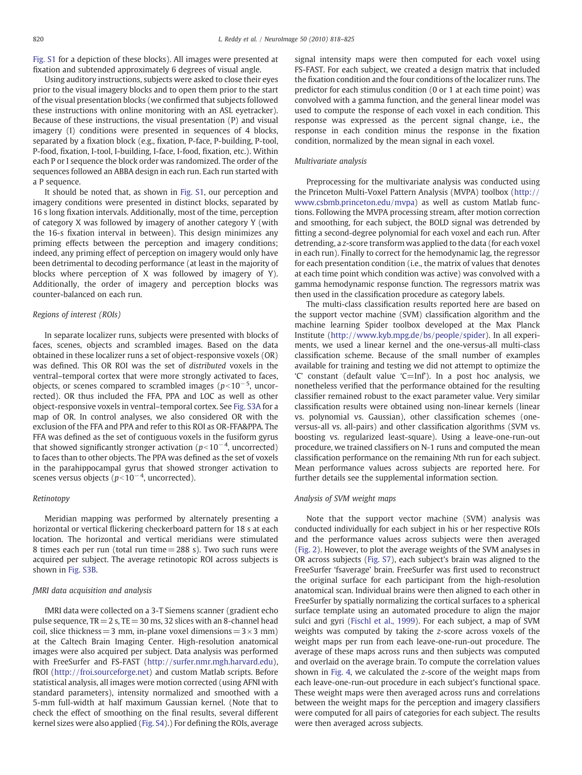Fig. S1 for a depiction of these blocks). All images were presented at fixation and subtended approximately 6 degrees of visual angle.

Using auditory instructions, subjects were asked to close their eyes prior to the visual imagery blocks and to open them prior to the start of the visual presentation blocks (we confirmed that subjects followed these instructions with online monitoring with an ASL eyetracker). Because of these instructions, the visual presentation (P) and visual imagery (I) conditions were presented in sequences of 4 blocks, separated by a fixation block (e.g., fixation, P-face, P-building, P-tool, P-food, fixation, I-tool, I-building, I-face, I-food, fixation, etc.). Within each P or I sequence the block order was randomized. The order of the sequences followed an ABBA design in each run. Each run started with a P sequence.

It should be noted that, as shown in Fig. S1, our perception and imagery conditions were presented in distinct blocks, separated by 16 s long fixation intervals. Additionally, most of the time, perception of category X was followed by imagery of another category Y (with the 16-s fixation interval in between). This design minimizes any priming effects between the perception and imagery conditions; indeed, any priming effect of perception on imagery would only have been detrimental to decoding performance (at least in the majority of blocks where perception of X was followed by imagery of Y). Additionally, the order of imagery and perception blocks was counter-balanced on each run.

## Regions of interest (ROIs)

In separate localizer runs, subjects were presented with blocks of faces, scenes, objects and scrambled images. Based on the data obtained in these localizer runs a set of object-responsive voxels (OR) was defined. This OR ROI was the set of distributed voxels in the ventral–temporal cortex that were more strongly activated to faces, objects, or scenes compared to scrambled images ( $p<10^{-5}$ , uncorrected). OR thus included the FFA, PPA and LOC as well as other object-responsive voxels in ventral–temporal cortex. See Fig. S3A for a map of OR. In control analyses, we also considered OR with the exclusion of the FFA and PPA and refer to this ROI as OR-FFA&PPA. The FFA was defined as the set of contiguous voxels in the fusiform gyrus that showed significantly stronger activation ( $p<10<sup>-4</sup>$ , uncorrected) to faces than to other objects. The PPA was defined as the set of voxels in the parahippocampal gyrus that showed stronger activation to scenes versus objects ( $p<10<sup>-4</sup>$ , uncorrected).

## Retinotopy

Meridian mapping was performed by alternately presenting a horizontal or vertical flickering checkerboard pattern for 18 s at each location. The horizontal and vertical meridians were stimulated 8 times each per run (total run time= 288 s). Two such runs were acquired per subject. The average retinotopic ROI across subjects is shown in Fig. S3B.

#### fMRI data acquisition and analysis

fMRI data were collected on a 3-T Siemens scanner (gradient echo pulse sequence,  $TR = 2$  s,  $TE = 30$  ms, 32 slices with an 8-channel head coil, slice thickness = 3 mm, in-plane voxel dimensions =  $3 \times 3$  mm) at the Caltech Brain Imaging Center. High-resolution anatomical images were also acquired per subject. Data analysis was performed with FreeSurfer and FS-FAST (<http://surfer.nmr.mgh.harvard.edu>), fROI ([http://froi.sourceforge.net\)](http://froi.sourceforge.net) and custom Matlab scripts. Before statistical analysis, all images were motion corrected (using AFNI with standard parameters), intensity normalized and smoothed with a 5-mm full-width at half maximum Gaussian kernel. (Note that to check the effect of smoothing on the final results, several different kernel sizes were also applied (Fig. S4).) For defining the ROIs, average signal intensity maps were then computed for each voxel using FS-FAST. For each subject, we created a design matrix that included the fixation condition and the four conditions of the localizer runs. The predictor for each stimulus condition (0 or 1 at each time point) was convolved with a gamma function, and the general linear model was used to compute the response of each voxel in each condition. This response was expressed as the percent signal change, i.e., the response in each condition minus the response in the fixation condition, normalized by the mean signal in each voxel.

#### Multivariate analysis

Preprocessing for the multivariate analysis was conducted using the Princeton Multi-Voxel Pattern Analysis (MVPA) toolbox [\(http://](http://www.csbmb.princeton.edu/mvpa) [www.csbmb.princeton.edu/mvpa](http://www.csbmb.princeton.edu/mvpa)) as well as custom Matlab functions. Following the MVPA processing stream, after motion correction and smoothing, for each subject, the BOLD signal was detrended by fitting a second-degree polynomial for each voxel and each run. After detrending, a z-score transform was applied to the data (for each voxel in each run). Finally to correct for the hemodynamic lag, the regressor for each presentation condition (i.e., the matrix of values that denotes at each time point which condition was active) was convolved with a gamma hemodynamic response function. The regressors matrix was then used in the classification procedure as category labels.

The multi-class classification results reported here are based on the support vector machine (SVM) classification algorithm and the machine learning Spider toolbox developed at the Max Planck Institute ([http://www.kyb.mpg.de/bs/people/spider\)](http://www.kyb.mpg.de/bs/people/spider). In all experiments, we used a linear kernel and the one-versus-all multi-class classification scheme. Because of the small number of examples available for training and testing we did not attempt to optimize the 'C' constant (default value 'C=Inf'). In a post hoc analysis, we nonetheless verified that the performance obtained for the resulting classifier remained robust to the exact parameter value. Very similar classification results were obtained using non-linear kernels (linear vs. polynomial vs. Gaussian), other classification schemes (oneversus-all vs. all-pairs) and other classification algorithms (SVM vs. boosting vs. regularized least-square). Using a leave-one-run-out procedure, we trained classifiers on N-1 runs and computed the mean classification performance on the remaining Nth run for each subject. Mean performance values across subjects are reported here. For further details see the supplemental information section.

#### Analysis of SVM weight maps

Note that the support vector machine (SVM) analysis was conducted individually for each subject in his or her respective ROIs and the performance values across subjects were then averaged [\(Fig. 2](#page-3-0)). However, to plot the average weights of the SVM analyses in OR across subjects (Fig. S7), each subject's brain was aligned to the FreeSurfer 'fsaverage' brain. FreeSurfer was first used to reconstruct the original surface for each participant from the high-resolution anatomical scan. Individual brains were then aligned to each other in FreeSurfer by spatially normalizing the cortical surfaces to a spherical surface template using an automated procedure to align the major sulci and gyri [\(Fischl et al., 1999\)](#page-6-0). For each subject, a map of SVM weights was computed by taking the z-score across voxels of the weight maps per run from each leave-one-run-out procedure. The average of these maps across runs and then subjects was computed and overlaid on the average brain. To compute the correlation values shown in [Fig. 4,](#page-5-0) we calculated the z-score of the weight maps from each leave-one-run-out procedure in each subject's functional space. These weight maps were then averaged across runs and correlations between the weight maps for the perception and imagery classifiers were computed for all pairs of categories for each subject. The results were then averaged across subjects.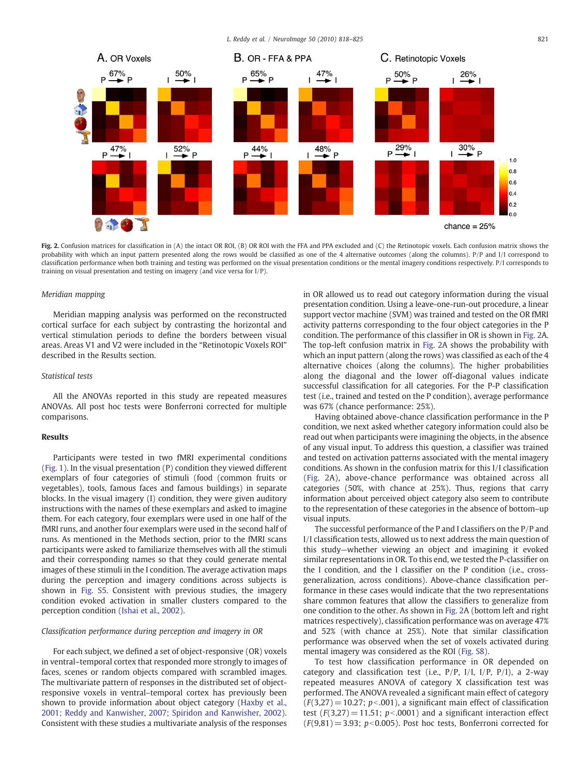<span id="page-3-0"></span>

Fig. 2. Confusion matrices for classification in (A) the intact OR ROI, (B) OR ROI with the FFA and PPA excluded and (C) the Retinotopic voxels. Each confusion matrix shows the probability with which an input pattern presented along the rows would be classified as one of the 4 alternative outcomes (along the columns). P/P and I/I correspond to classification performance when both training and testing was performed on the visual presentation conditions or the mental imagery conditions respectively. P/I corresponds to training on visual presentation and testing on imagery (and vice versa for I/P).

#### Meridian mapping

Meridian mapping analysis was performed on the reconstructed cortical surface for each subject by contrasting the horizontal and vertical stimulation periods to define the borders between visual areas. Areas V1 and V2 were included in the "Retinotopic Voxels ROI" described in the Results section.

#### Statistical tests

All the ANOVAs reported in this study are repeated measures ANOVAs. All post hoc tests were Bonferroni corrected for multiple comparisons.

### Results

Participants were tested in two fMRI experimental conditions [\(Fig. 1\)](#page-1-0). In the visual presentation (P) condition they viewed different exemplars of four categories of stimuli (food (common fruits or vegetables), tools, famous faces and famous buildings) in separate blocks. In the visual imagery (I) condition, they were given auditory instructions with the names of these exemplars and asked to imagine them. For each category, four exemplars were used in one half of the fMRI runs, and another four exemplars were used in the second half of runs. As mentioned in the Methods section, prior to the fMRI scans participants were asked to familiarize themselves with all the stimuli and their corresponding names so that they could generate mental images of these stimuli in the I condition. The average activation maps during the perception and imagery conditions across subjects is shown in Fig. S5. Consistent with previous studies, the imagery condition evoked activation in smaller clusters compared to the perception condition ([Ishai et al., 2002](#page-7-0)).

#### Classification performance during perception and imagery in OR

For each subject, we defined a set of object-responsive (OR) voxels in ventral–temporal cortex that responded more strongly to images of faces, scenes or random objects compared with scrambled images. The multivariate pattern of responses in the distributed set of objectresponsive voxels in ventral–temporal cortex has previously been shown to provide information about object category ([Haxby et al.,](#page-7-0) [2001; Reddy and Kanwisher, 2007; Spiridon and Kanwisher, 2002](#page-7-0)). Consistent with these studies a multivariate analysis of the responses

in OR allowed us to read out category information during the visual presentation condition. Using a leave-one-run-out procedure, a linear support vector machine (SVM) was trained and tested on the OR fMRI activity patterns corresponding to the four object categories in the P condition. The performance of this classifier in OR is shown in Fig. 2A. The top-left confusion matrix in Fig. 2A shows the probability with which an input pattern (along the rows) was classified as each of the 4 alternative choices (along the columns). The higher probabilities along the diagonal and the lower off-diagonal values indicate successful classification for all categories. For the P-P classification test (i.e., trained and tested on the P condition), average performance was 67% (chance performance: 25%).

Having obtained above-chance classification performance in the P condition, we next asked whether category information could also be read out when participants were imagining the objects, in the absence of any visual input. To address this question, a classifier was trained and tested on activation patterns associated with the mental imagery conditions. As shown in the confusion matrix for this I/I classification (Fig. 2A), above-chance performance was obtained across all categories (50%, with chance at 25%). Thus, regions that carry information about perceived object category also seem to contribute to the representation of these categories in the absence of bottom–up visual inputs.

The successful performance of the P and I classifiers on the P/P and I/I classification tests, allowed us to next address the main question of this study—whether viewing an object and imagining it evoked similar representations in OR. To this end, we tested the P-classifier on the I condition, and the I classifier on the P condition (i.e., crossgeneralization, across conditions). Above-chance classification performance in these cases would indicate that the two representations share common features that allow the classifiers to generalize from one condition to the other. As shown in Fig. 2A (bottom left and right matrices respectively), classification performance was on average 47% and 52% (with chance at 25%). Note that similar classification performance was observed when the set of voxels activated during mental imagery was considered as the ROI (Fig. S8).

To test how classification performance in OR depended on category and classification test (i.e.,  $P/P$ ,  $I/I$ ,  $I/P$ ,  $P/I$ ), a 2-way repeated measures ANOVA of category X classification test was performed. The ANOVA revealed a significant main effect of category  $(F(3,27)= 10.27; p<0.001)$ , a significant main effect of classification test  $(F(3,27) = 11.51; p<0.001)$  and a significant interaction effect  $(F(9,81)= 3.93; p<0.005)$ . Post hoc tests, Bonferroni corrected for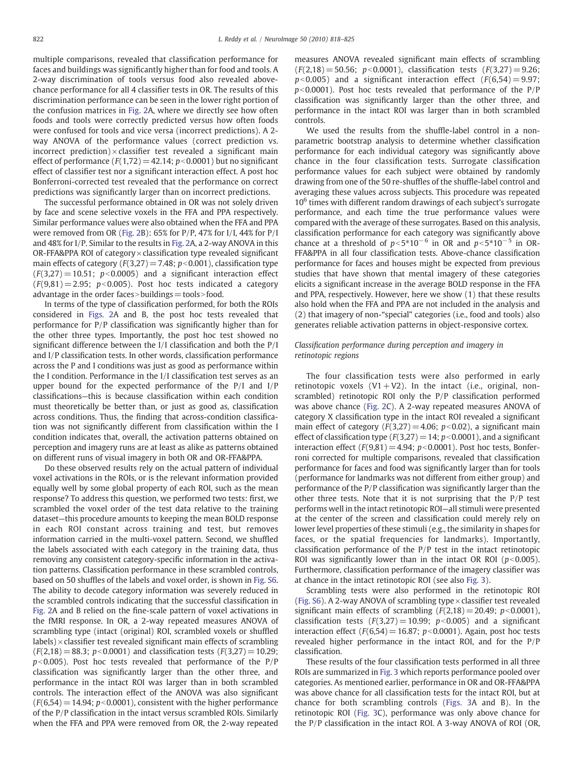multiple comparisons, revealed that classification performance for faces and buildings was significantly higher than for food and tools. A 2-way discrimination of tools versus food also revealed abovechance performance for all 4 classifier tests in OR. The results of this discrimination performance can be seen in the lower right portion of the confusion matrices in [Fig. 2](#page-3-0)A, where we directly see how often foods and tools were correctly predicted versus how often foods were confused for tools and vice versa (incorrect predictions). A 2 way ANOVA of the performance values (correct prediction vs. incorrect prediction) $\times$  classifier test revealed a significant main effect of performance  $(F(1,72) = 42.14; p<0.0001)$  but no significant effect of classifier test nor a significant interaction effect. A post hoc Bonferroni-corrected test revealed that the performance on correct predictions was significantly larger than on incorrect predictions.

The successful performance obtained in OR was not solely driven by face and scene selective voxels in the FFA and PPA respectively. Similar performance values were also obtained when the FFA and PPA were removed from OR ([Fig. 2](#page-3-0)B): 65% for P/P, 47% for I/I, 44% for P/I and 48% for I/P. Similar to the results in [Fig. 2A](#page-3-0), a 2-way ANOVA in this OR-FFA&PPA ROI of category $\times$  classification type revealed significant main effects of category ( $F(3,27) = 7.48$ ;  $p < 0.001$ ), classification type  $(F(3,27)= 10.51$ ;  $p<0.0005$ ) and a significant interaction effect  $(F(9,81)= 2.95; p<0.005)$ . Post hoc tests indicated a category advantage in the order faces > buildings  $=$  tools > food.

In terms of the type of classification performed, for both the ROIs considered in [Figs. 2](#page-3-0)A and B, the post hoc tests revealed that performance for P/P classification was significantly higher than for the other three types. Importantly, the post hoc test showed no significant difference between the I/I classification and both the P/I and I/P classification tests. In other words, classification performance across the P and I conditions was just as good as performance within the I condition. Performance in the I/I classification test serves as an upper bound for the expected performance of the P/I and I/P classifications—this is because classification within each condition must theoretically be better than, or just as good as, classification across conditions. Thus, the finding that across-condition classification was not significantly different from classification within the I condition indicates that, overall, the activation patterns obtained on perception and imagery runs are at least as alike as patterns obtained on different runs of visual imagery in both OR and OR-FFA&PPA.

Do these observed results rely on the actual pattern of individual voxel activations in the ROIs, or is the relevant information provided equally well by some global property of each ROI, such as the mean response? To address this question, we performed two tests: first, we scrambled the voxel order of the test data relative to the training dataset—this procedure amounts to keeping the mean BOLD response in each ROI constant across training and test, but removes information carried in the multi-voxel pattern. Second, we shuffled the labels associated with each category in the training data, thus removing any consistent category-specific information in the activation patterns. Classification performance in these scrambled controls, based on 50 shuffles of the labels and voxel order, is shown in Fig. S6. The ability to decode category information was severely reduced in the scrambled controls indicating that the successful classification in [Fig. 2A](#page-3-0) and B relied on the fine-scale pattern of voxel activations in the fMRI response. In OR, a 2-way repeated measures ANOVA of scrambling type (intact (original) ROI, scrambled voxels or shuffled  $lables$ ) $\times$  classifier test revealed significant main effects of scrambling  $(F(2,18)= 88.3; p<0.0001)$  and classification tests  $(F(3,27)= 10.29;$  $p$ <0.005). Post hoc tests revealed that performance of the P/P classification was significantly larger than the other three, and performance in the intact ROI was larger than in both scrambled controls. The interaction effect of the ANOVA was also significant  $(F(6,54)= 14.94; p<0.0001)$ , consistent with the higher performance of the P/P classification in the intact versus scrambled ROIs. Similarly when the FFA and PPA were removed from OR, the 2-way repeated

measures ANOVA revealed significant main effects of scrambling  $(F(2,18)= 50.56; p<0.0001)$ , classification tests  $(F(3,27)=9.26;$  $p < 0.005$ ) and a significant interaction effect ( $F(6,54) = 9.97$ ;  $p$ <0.0001). Post hoc tests revealed that performance of the P/P classification was significantly larger than the other three, and performance in the intact ROI was larger than in both scrambled controls.

We used the results from the shuffle-label control in a nonparametric bootstrap analysis to determine whether classification performance for each individual category was significantly above chance in the four classification tests. Surrogate classification performance values for each subject were obtained by randomly drawing from one of the 50 re-shuffles of the shuffle-label control and averaging these values across subjects. This procedure was repeated  $10<sup>6</sup>$  times with different random drawings of each subject's surrogate performance, and each time the true performance values were compared with the average of these surrogates. Based on this analysis, classification performance for each category was significantly above chance at a threshold of  $p<5*10^{-6}$  in OR and  $p<5*10^{-5}$  in OR-FFA&PPA in all four classification tests. Above-chance classification performance for faces and houses might be expected from previous studies that have shown that mental imagery of these categories elicits a significant increase in the average BOLD response in the FFA and PPA, respectively. However, here we show (1) that these results also hold when the FFA and PPA are not included in the analysis and (2) that imagery of non-"special" categories (i.e., food and tools) also generates reliable activation patterns in object-responsive cortex.

# Classification performance during perception and imagery in retinotopic regions

The four classification tests were also performed in early retinotopic voxels  $(V1+V2)$ . In the intact (i.e., original, nonscrambled) retinotopic ROI only the P/P classification performed was above chance ([Fig. 2C](#page-3-0)). A 2-way repeated measures ANOVA of category X classification type in the intact ROI revealed a significant main effect of category ( $F(3,27) = 4.06$ ;  $p < 0.02$ ), a significant main effect of classification type ( $F(3,27) = 14$ ;  $p < 0.0001$ ), and a significant interaction effect  $(F(9,81) = 4.94; p<0.0001)$ . Post hoc tests, Bonferroni corrected for multiple comparisons, revealed that classification performance for faces and food was significantly larger than for tools (performance for landmarks was not different from either group) and performance of the P/P classification was significantly larger than the other three tests. Note that it is not surprising that the P/P test performs well in the intact retinotopic ROI—all stimuli were presented at the center of the screen and classification could merely rely on lower level properties of these stimuli (e.g., the similarity in shapes for faces, or the spatial frequencies for landmarks). Importantly, classification performance of the P/P test in the intact retinotopic ROI was significantly lower than in the intact OR ROI ( $p<0.005$ ). Furthermore, classification performance of the imagery classifier was at chance in the intact retinotopic ROI (see also [Fig. 3\)](#page-5-0).

Scrambling tests were also performed in the retinotopic ROI (Fig.  $S6$ ). A 2-way ANOVA of scrambling type  $\times$  classifier test revealed significant main effects of scrambling  $(F(2,18) = 20.49; p<0.0001)$ , classification tests  $(F(3,27)= 10.99; p<0.005)$  and a significant interaction effect  $(F(6,54)= 16.87; p<0.0001)$ . Again, post hoc tests revealed higher performance in the intact ROI, and for the P/P classification.

These results of the four classification tests performed in all three ROIs are summarized in [Fig. 3](#page-5-0) which reports performance pooled over categories. As mentioned earlier, performance in OR and OR-FFA&PPA was above chance for all classification tests for the intact ROI, but at chance for both scrambling controls ([Figs. 3A](#page-5-0) and B). In the retinotopic ROI ([Fig. 3](#page-5-0)C), performance was only above chance for the P/P classification in the intact ROI. A 3-way ANOVA of ROI (OR,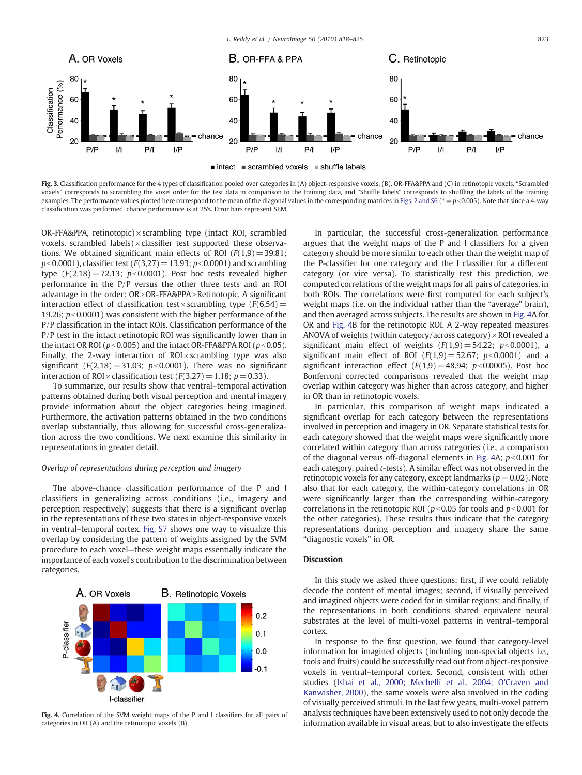<span id="page-5-0"></span>

Fig. 3. Classification performance for the 4 types of classification pooled over categories in (A) object-responsive voxels, (B). OR-FFA&PPA and (C) in retinotopic voxels. "Scrambled voxels" corresponds to scrambling the voxel order for the test data in comparison to the training data, and "Shuffle labels" corresponds to shuffling the labels of the training examples. The performance values plotted here correspond to the mean of the diagonal values in the corresponding matrices in [Figs. 2 and S6](#page-3-0) ( $* = p$ <0.005). Note that since a 4-way classification was performed, chance performance is at 25%. Error bars represent SEM.

OR-FFA&PPA, retinotopic) $\times$  scrambling type (intact ROI, scrambled voxels, scrambled labels) $\times$  classifier test supported these observations. We obtained significant main effects of ROI  $(F(1,9) = 39.81;$  $p<0.0001$ ), classifier test (F(3,27) = 13.93;  $p<0.0001$ ) and scrambling type  $(F(2,18) = 72.13; p<0.0001)$ . Post hoc tests revealed higher performance in the P/P versus the other three tests and an ROI advantage in the order:  $OR > OR$ -FFA&PPA $>$ Retinotopic. A significant interaction effect of classification test × scrambling type ( $F(6,54)$ ) = 19.26;  $p<0.0001$ ) was consistent with the higher performance of the P/P classification in the intact ROIs. Classification performance of the P/P test in the intact retinotopic ROI was significantly lower than in the intact OR ROI ( $p<0.005$ ) and the intact OR-FFA&PPA ROI ( $p<0.05$ ). Finally, the 2-way interaction of  $ROI \times$  scrambling type was also significant  $(F(2,18) = 31.03; p<0.0001)$ . There was no significant interaction of ROI × classification test  $(F(3,27)=1.18; p=0.33)$ .

To summarize, our results show that ventral–temporal activation patterns obtained during both visual perception and mental imagery provide information about the object categories being imagined. Furthermore, the activation patterns obtained in the two conditions overlap substantially, thus allowing for successful cross-generalization across the two conditions. We next examine this similarity in representations in greater detail.

#### Overlap of representations during perception and imagery

The above-chance classification performance of the P and I classifiers in generalizing across conditions (i.e., imagery and perception respectively) suggests that there is a significant overlap in the representations of these two states in object-responsive voxels in ventral–temporal cortex. Fig. S7 shows one way to visualize this overlap by considering the pattern of weights assigned by the SVM procedure to each voxel—these weight maps essentially indicate the importance of each voxel's contribution to the discrimination between categories.



Fig. 4. Correlation of the SVM weight maps of the P and I classifiers for all pairs of categories in OR (A) and the retinotopic voxels (B).

In particular, the successful cross-generalization performance argues that the weight maps of the P and I classifiers for a given category should be more similar to each other than the weight map of the P-classifier for one category and the I classifier for a different category (or vice versa). To statistically test this prediction, we computed correlations of the weight maps for all pairs of categories, in both ROIs. The correlations were first computed for each subject's weight maps (i.e. on the individual rather than the "average" brain), and then averaged across subjects. The results are shown in Fig. 4A for OR and Fig. 4B for the retinotopic ROI. A 2-way repeated measures ANOVA of weights (within category/across category) $\times$ ROI revealed a significant main effect of weights  $(F(1,9) = 54.22; p<0.0001)$ , a significant main effect of ROI  $(F(1,9) = 52.67; p<0.0001)$  and a significant interaction effect  $(F(1,9) = 48.94; p<0.0005)$ . Post hoc Bonferroni corrected comparisons revealed that the weight map overlap within category was higher than across category, and higher in OR than in retinotopic voxels.

In particular, this comparison of weight maps indicated a significant overlap for each category between the representations involved in perception and imagery in OR. Separate statistical tests for each category showed that the weight maps were significantly more correlated within category than across categories (i.e., a comparison of the diagonal versus off-diagonal elements in Fig.  $4A$ ;  $p < 0.001$  for each category, paired t-tests). A similar effect was not observed in the retinotopic voxels for any category, except landmarks ( $p = 0.02$ ). Note also that for each category, the within-category correlations in OR were significantly larger than the corresponding within-category correlations in the retinotopic ROI ( $p<0.05$  for tools and  $p<0.001$  for the other categories). These results thus indicate that the category representations during perception and imagery share the same "diagnostic voxels" in OR.

#### Discussion

In this study we asked three questions: first, if we could reliably decode the content of mental images; second, if visually perceived and imagined objects were coded for in similar regions; and finally, if the representations in both conditions shared equivalent neural substrates at the level of multi-voxel patterns in ventral–temporal cortex.

In response to the first question, we found that category-level information for imagined objects (including non-special objects i.e., tools and fruits) could be successfully read out from object-responsive voxels in ventral–temporal cortex. Second, consistent with other studies ([Ishai et al., 2000; Mechelli et al., 2004; O'Craven and](#page-7-0) [Kanwisher, 2000\)](#page-7-0), the same voxels were also involved in the coding of visually perceived stimuli. In the last few years, multi-voxel pattern analysis techniques have been extensively used to not only decode the information available in visual areas, but to also investigate the effects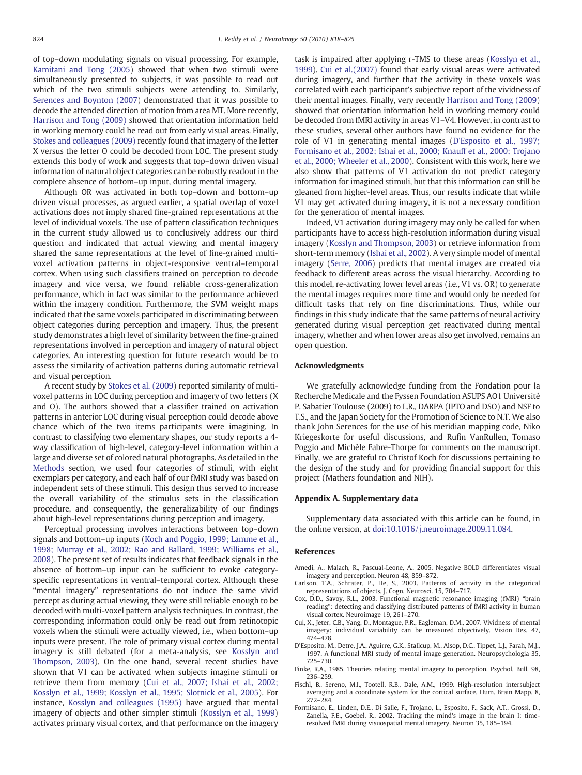<span id="page-6-0"></span>of top–down modulating signals on visual processing. For example, [Kamitani and Tong \(2005](#page-7-0)) showed that when two stimuli were simultaneously presented to subjects, it was possible to read out which of the two stimuli subjects were attending to. Similarly, [Serences and Boynton \(2007\)](#page-7-0) demonstrated that it was possible to decode the attended direction of motion from area MT. More recently, [Harrison and Tong \(2009\)](#page-7-0) showed that orientation information held in working memory could be read out from early visual areas. Finally, [Stokes and colleagues \(2009\)](#page-7-0) recently found that imagery of the letter X versus the letter O could be decoded from LOC. The present study extends this body of work and suggests that top–down driven visual information of natural object categories can be robustly readout in the complete absence of bottom–up input, during mental imagery.

Although OR was activated in both top–down and bottom–up driven visual processes, as argued earlier, a spatial overlap of voxel activations does not imply shared fine-grained representations at the level of individual voxels. The use of pattern classification techniques in the current study allowed us to conclusively address our third question and indicated that actual viewing and mental imagery shared the same representations at the level of fine-grained multivoxel activation patterns in object-responsive ventral–temporal cortex. When using such classifiers trained on perception to decode imagery and vice versa, we found reliable cross-generalization performance, which in fact was similar to the performance achieved within the imagery condition. Furthermore, the SVM weight maps indicated that the same voxels participated in discriminating between object categories during perception and imagery. Thus, the present study demonstrates a high level of similarity between the fine-grained representations involved in perception and imagery of natural object categories. An interesting question for future research would be to assess the similarity of activation patterns during automatic retrieval and visual perception.

A recent study by [Stokes et al. \(2009](#page-7-0)) reported similarity of multivoxel patterns in LOC during perception and imagery of two letters (X and O). The authors showed that a classifier trained on activation patterns in anterior LOC during visual perception could decode above chance which of the two items participants were imagining. In contrast to classifying two elementary shapes, our study reports a 4 way classification of high-level, category-level information within a large and diverse set of colored natural photographs. As detailed in the [Methods](#page-1-0) section, we used four categories of stimuli, with eight exemplars per category, and each half of our fMRI study was based on independent sets of these stimuli. This design thus served to increase the overall variability of the stimulus sets in the classification procedure, and consequently, the generalizability of our findings about high-level representations during perception and imagery.

Perceptual processing involves interactions between top–down signals and bottom–up inputs [\(Koch and Poggio, 1999; Lamme et al.,](#page-7-0) [1998; Murray et al., 2002; Rao and Ballard, 1999; Williams et al.,](#page-7-0) [2008\)](#page-7-0). The present set of results indicates that feedback signals in the absence of bottom–up input can be sufficient to evoke categoryspecific representations in ventral–temporal cortex. Although these "mental imagery" representations do not induce the same vivid percept as during actual viewing, they were still reliable enough to be decoded with multi-voxel pattern analysis techniques. In contrast, the corresponding information could only be read out from retinotopic voxels when the stimuli were actually viewed, i.e., when bottom–up inputs were present. The role of primary visual cortex during mental imagery is still debated (for a meta-analysis, see [Kosslyn and](#page-7-0) [Thompson, 2003\)](#page-7-0). On the one hand, several recent studies have shown that V1 can be activated when subjects imagine stimuli or retrieve them from memory (Cui et al., 2007; Ishai et al., 2002; Kosslyn et al., 1999; Kosslyn et al., 1995; Slotnick et al., 2005). For instance, [Kosslyn and colleagues \(1995\)](#page-7-0) have argued that mental imagery of objects and other simpler stimuli [\(Kosslyn et al., 1999](#page-7-0)) activates primary visual cortex, and that performance on the imagery task is impaired after applying r-TMS to these areas ([Kosslyn et al.,](#page-7-0) [1999\)](#page-7-0). Cui et al.(2007) found that early visual areas were activated during imagery, and further that the activity in these voxels was correlated with each participant's subjective report of the vividness of their mental images. Finally, very recently [Harrison and Tong \(2009](#page-7-0)) showed that orientation information held in working memory could be decoded from fMRI activity in areas V1–V4. However, in contrast to these studies, several other authors have found no evidence for the role of V1 in generating mental images (D'Esposito et al., 1997; Formisano et al., 2002; Ishai et al., 2000; Knauff et al., 2000; Trojano et al., 2000; Wheeler et al., 2000). Consistent with this work, here we also show that patterns of V1 activation do not predict category information for imagined stimuli, but that this information can still be gleaned from higher-level areas. Thus, our results indicate that while V1 may get activated during imagery, it is not a necessary condition for the generation of mental images.

Indeed, V1 activation during imagery may only be called for when participants have to access high-resolution information during visual imagery [\(Kosslyn and Thompson, 2003\)](#page-7-0) or retrieve information from short-term memory [\(Ishai et al., 2002](#page-7-0)). A very simple model of mental imagery [\(Serre, 2006\)](#page-7-0) predicts that mental images are created via feedback to different areas across the visual hierarchy. According to this model, re-activating lower level areas (i.e., V1 vs. OR) to generate the mental images requires more time and would only be needed for difficult tasks that rely on fine discriminations. Thus, while our findings in this study indicate that the same patterns of neural activity generated during visual perception get reactivated during mental imagery, whether and when lower areas also get involved, remains an open question.

#### Acknowledgments

We gratefully acknowledge funding from the Fondation pour la Recherche Medicale and the Fyssen Foundation ASUPS AO1 Université P. Sabatier Toulouse (2009) to L.R., DARPA (IPTO and DSO) and NSF to T.S., and the Japan Society for the Promotion of Science to N.T. We also thank John Serences for the use of his meridian mapping code, Niko Kriegeskorte for useful discussions, and Rufin VanRullen, Tomaso Poggio and Michèle Fabre-Thorpe for comments on the manuscript. Finally, we are grateful to Christof Koch for discussions pertaining to the design of the study and for providing financial support for this project (Mathers foundation and NIH).

#### Appendix A. Supplementary data

Supplementary data associated with this article can be found, in the online version, at [doi:10.1016/j.neuroimage.2009.11.084.](http://dx.doi.org/10.1016/j.neuroimage.2009.11.084)

#### References

- Amedi, A., Malach, R., Pascual-Leone, A., 2005. Negative BOLD differentiates visual imagery and perception. Neuron 48, 859–872.
- Carlson, T.A., Schrater, P., He, S., 2003. Patterns of activity in the categorical representations of objects. J. Cogn. Neurosci. 15, 704–717.
- Cox, D.D., Savoy, R.L., 2003. Functional magnetic resonance imaging (fMRI) "brain reading": detecting and classifying distributed patterns of fMRI activity in human visual cortex. Neuroimage 19, 261–270.
- Cui, X., Jeter, C.B., Yang, D., Montague, P.R., Eagleman, D.M., 2007. Vividness of mental imagery: individual variability can be measured objectively. Vision Res. 47, 474–478.
- D'Esposito, M., Detre, J.A., Aguirre, G.K., Stallcup, M., Alsop, D.C., Tippet, L.J., Farah, M.J., 1997. A functional MRI study of mental image generation. Neuropsychologia 35, 725–730.
- Finke, R.A., 1985. Theories relating mental imagery to perception. Psychol. Bull. 98, 236–259.
- Fischl, B., Sereno, M.I., Tootell, R.B., Dale, A.M., 1999. High-resolution intersubject averaging and a coordinate system for the cortical surface. Hum. Brain Mapp. 8, 272–284.
- Formisano, E., Linden, D.E., Di Salle, F., Trojano, L., Esposito, F., Sack, A.T., Grossi, D., Zanella, F.E., Goebel, R., 2002. Tracking the mind's image in the brain I: timeresolved fMRI during visuospatial mental imagery. Neuron 35, 185–194.